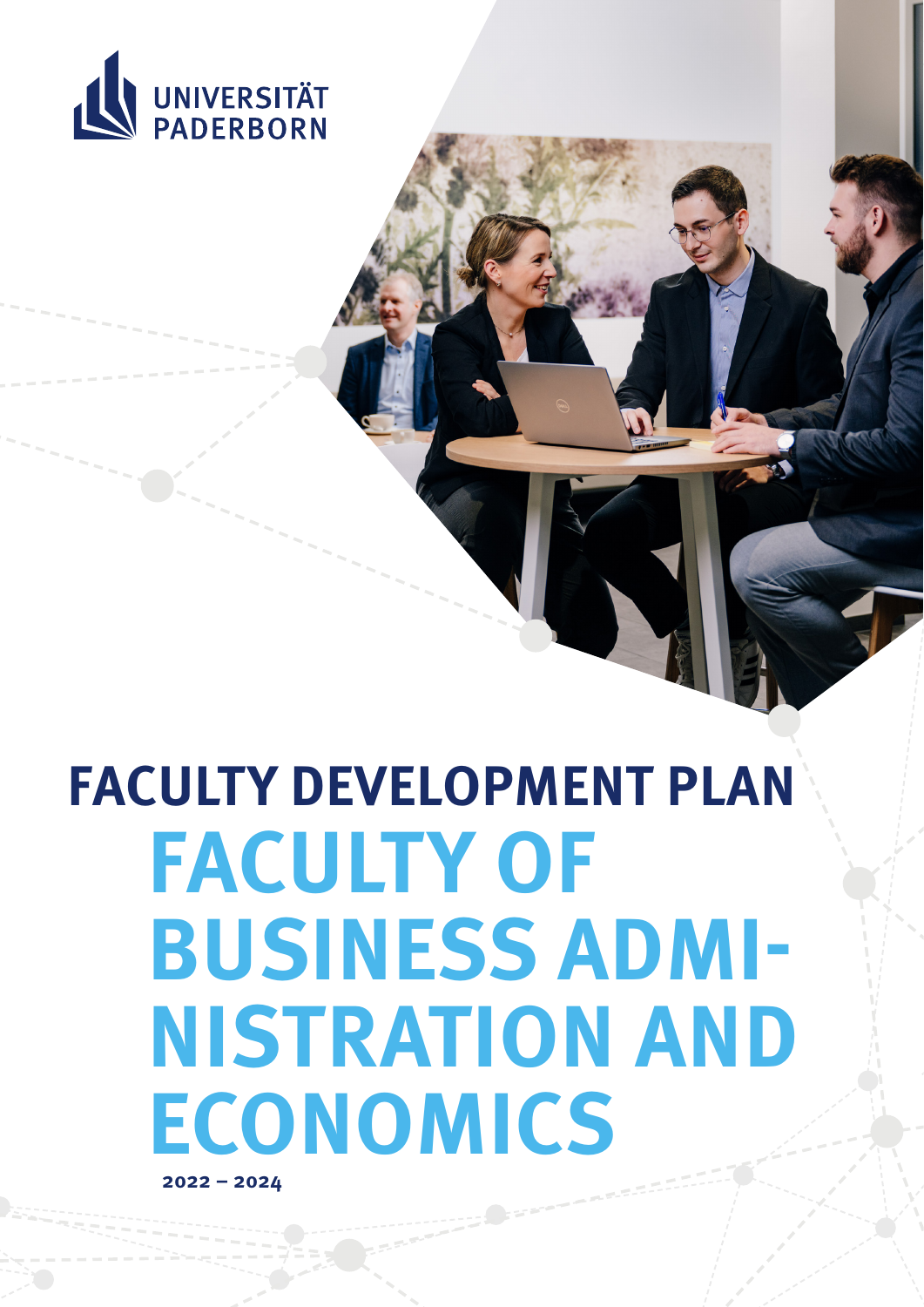

# **FACULTY DEVELOPMENT PLAN FACULTY OF BUSINESS ADMI-NISTRATION AND ECONOMICS**

**2022 – 2024**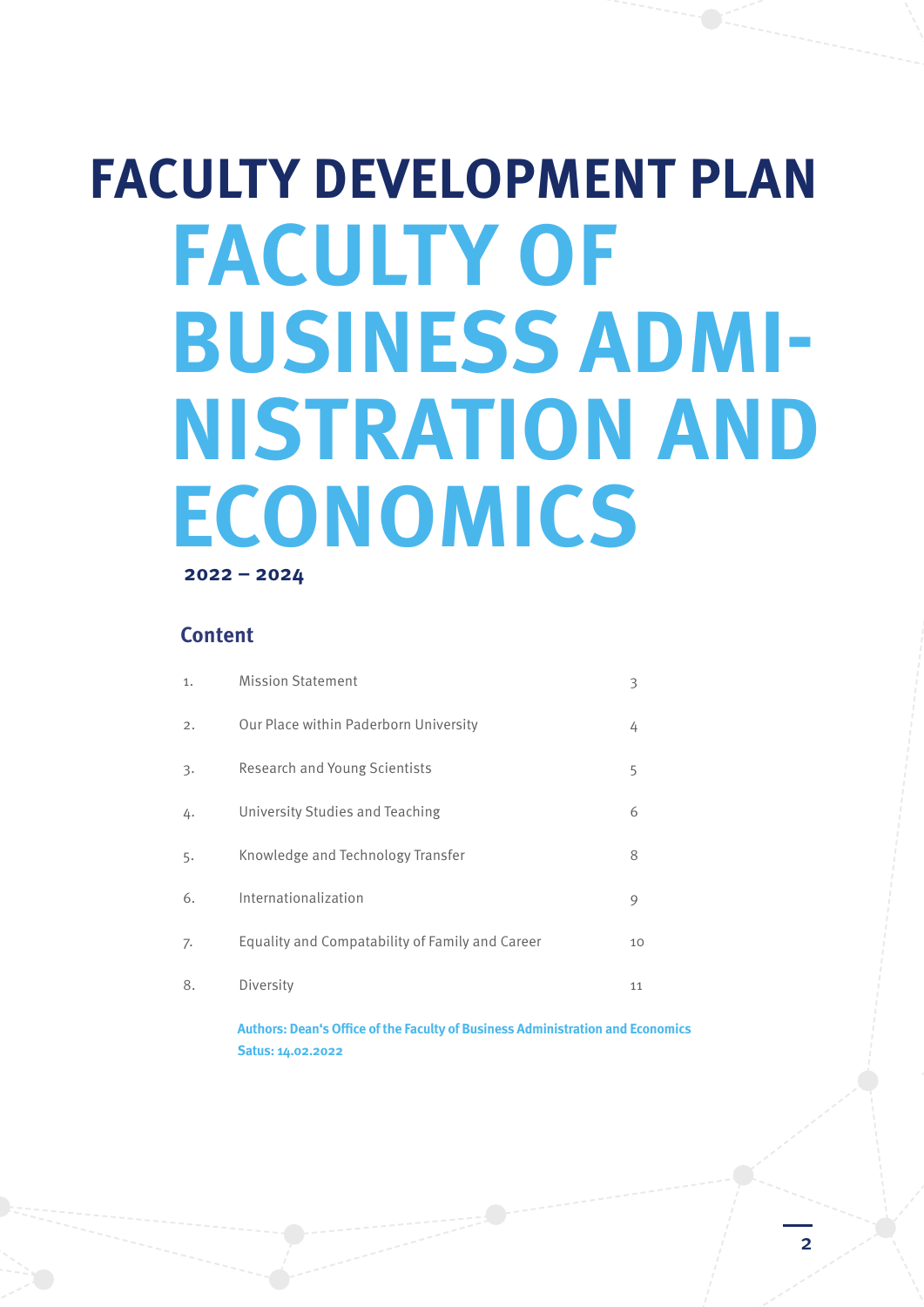## **FACULTY DEVELOPMENT PLAN FACULTY OF BUSINESS ADMI-NISTRATION AND ECONOMICS 2022 – 2024**

### **Content**

| 1.               | <b>Mission Statement</b>                        | З  |
|------------------|-------------------------------------------------|----|
| 2.               | Our Place within Paderborn University           | 4  |
| $\overline{3}$ . | Research and Young Scientists                   | 5  |
| 4.               | University Studies and Teaching                 | 6  |
| 5.               | Knowledge and Technology Transfer               | 8  |
| 6.               | Internationalization                            | 9  |
| 7.               | Equality and Compatability of Family and Career | 10 |
| 8.               | Diversity                                       | 11 |

**Authors: Dean's Office of the Faculty of Business Administration and Economics Satus: 14.02.2022**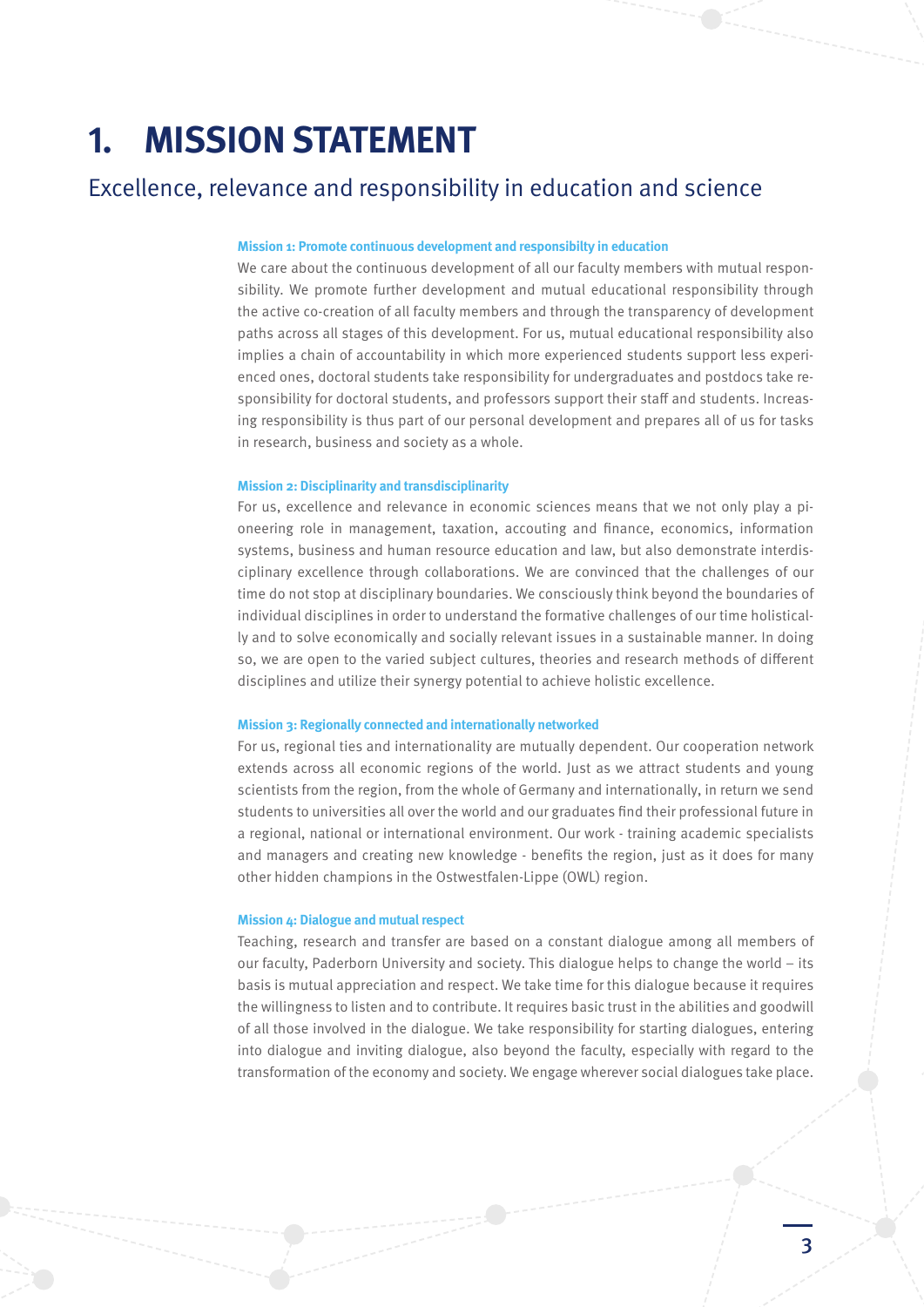### **1. MISSION STATEMENT**

### Excellence, relevance and responsibility in education and science

### **Mission 1: Promote continuous development and responsibilty in education**

We care about the continuous development of all our faculty members with mutual responsibility. We promote further development and mutual educational responsibility through the active co-creation of all faculty members and through the transparency of development paths across all stages of this development. For us, mutual educational responsibility also implies a chain of accountability in which more experienced students support less experienced ones, doctoral students take responsibility for undergraduates and postdocs take responsibility for doctoral students, and professors support their staff and students. Increasing responsibility is thus part of our personal development and prepares all of us for tasks in research, business and society as a whole.

### **Mission 2: Disciplinarity and transdisciplinarity**

For us, excellence and relevance in economic sciences means that we not only play a pioneering role in management, taxation, accouting and finance, economics, information systems, business and human resource education and law, but also demonstrate interdisciplinary excellence through collaborations. We are convinced that the challenges of our time do not stop at disciplinary boundaries. We consciously think beyond the boundaries of individual disciplines in order to understand the formative challenges of our time holistically and to solve economically and socially relevant issues in a sustainable manner. In doing so, we are open to the varied subject cultures, theories and research methods of different disciplines and utilize their synergy potential to achieve holistic excellence.

### **Mission 3: Regionally connected and internationally networked**

For us, regional ties and internationality are mutually dependent. Our cooperation network extends across all economic regions of the world. Just as we attract students and young scientists from the region, from the whole of Germany and internationally, in return we send students to universities all over the world and our graduates find their professional future in a regional, national or international environment. Our work - training academic specialists and managers and creating new knowledge - benefits the region, just as it does for many other hidden champions in the Ostwestfalen-Lippe (OWL) region.

#### **Mission 4: Dialogue and mutual respect**

Teaching, research and transfer are based on a constant dialogue among all members of our faculty, Paderborn University and society. This dialogue helps to change the world – its basis is mutual appreciation and respect. We take time for this dialogue because it requires the willingness to listen and to contribute. It requires basic trust in the abilities and goodwill of all those involved in the dialogue. We take responsibility for starting dialogues, entering into dialogue and inviting dialogue, also beyond the faculty, especially with regard to the transformation of the economy and society. We engage wherever social dialogues take place.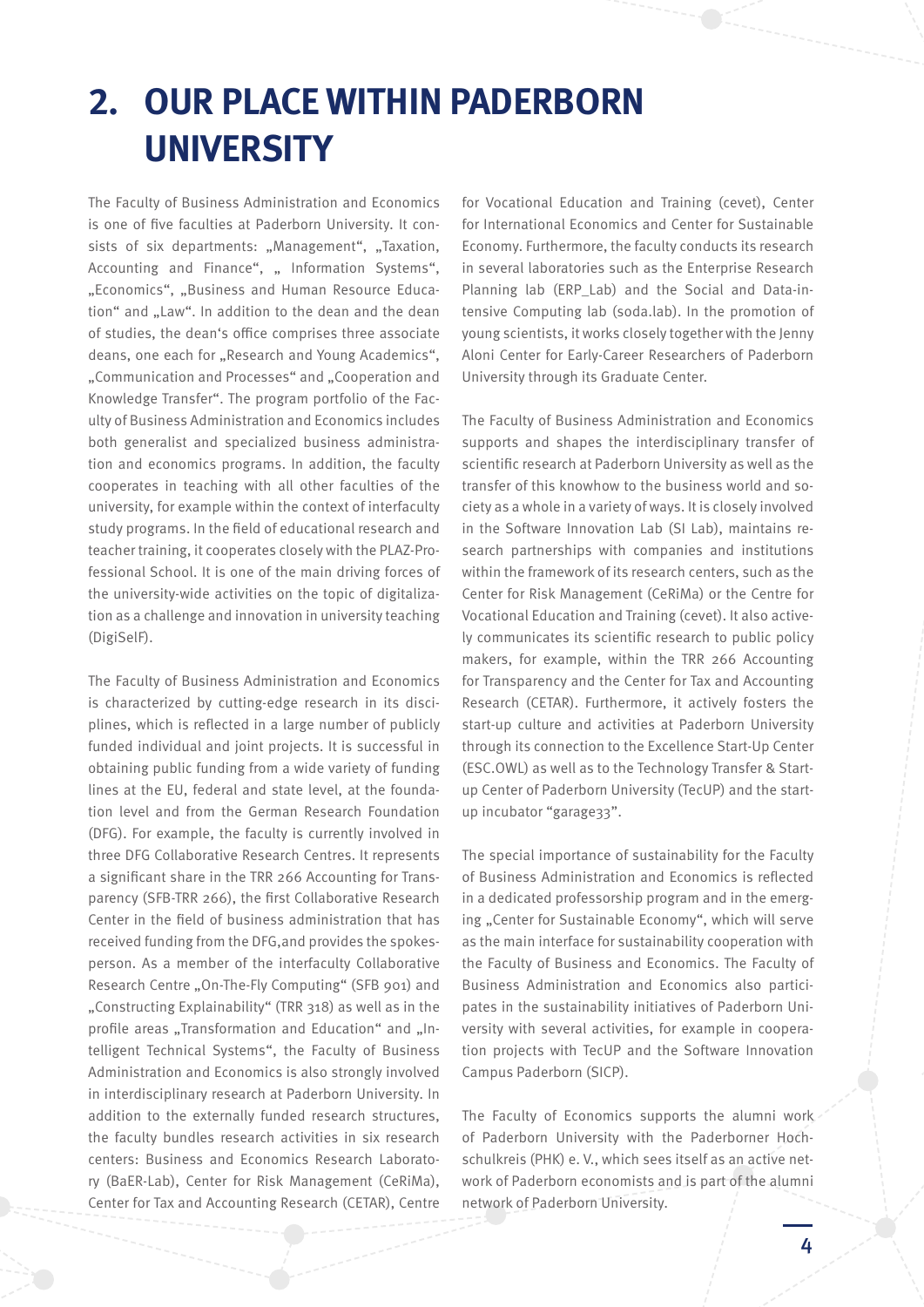### **2. OUR PLACE WITHIN PADERBORN UNIVERSITY**

The Faculty of Business Administration and Economics is one of five faculties at Paderborn University. It consists of six departments: "Management", "Taxation, Accounting and Finance", " Information Systems", "Economics", "Business and Human Resource Education" and "Law". In addition to the dean and the dean of studies, the dean's office comprises three associate deans, one each for "Research and Young Academics", "Communication and Processes" and "Cooperation and Knowledge Transfer". The program portfolio of the Faculty of Business Administration and Economics includes both generalist and specialized business administration and economics programs. In addition, the faculty cooperates in teaching with all other faculties of the university, for example within the context of interfaculty study programs. In the field of educational research and teacher training, it cooperates closely with the PLAZ-Professional School. It is one of the main driving forces of the university-wide activities on the topic of digitalization as a challenge and innovation in university teaching (DigiSelF).

The Faculty of Business Administration and Economics is characterized by cutting-edge research in its disciplines, which is reflected in a large number of publicly funded individual and joint projects. It is successful in obtaining public funding from a wide variety of funding lines at the EU, federal and state level, at the foundation level and from the German Research Foundation (DFG). For example, the faculty is currently involved in three DFG Collaborative Research Centres. It represents a significant share in the TRR 266 Accounting for Transparency (SFB-TRR 266), the first Collaborative Research Center in the field of business administration that has received funding from the DFG,and provides the spokesperson. As a member of the interfaculty Collaborative Research Centre "On-The-Fly Computing" (SFB 901) and "Constructing Explainability" (TRR 318) as well as in the profile areas ..Transformation and Education" and ..Intelligent Technical Systems", the Faculty of Business Administration and Economics is also strongly involved in interdisciplinary research at Paderborn University. In addition to the externally funded research structures, the faculty bundles research activities in six research centers: Business and Economics Research Laboratory (BaER-Lab), Center for Risk Management (CeRiMa), Center for Tax and Accounting Research (CETAR), Centre

for Vocational Education and Training (cevet), Center for International Economics and Center for Sustainable Economy. Furthermore, the faculty conducts its research in several laboratories such as the Enterprise Research Planning lab (ERP\_Lab) and the Social and Data-intensive Computing lab (soda.lab). In the promotion of young scientists, it works closely together with the Jenny Aloni Center for Early-Career Researchers of Paderborn University through its Graduate Center.

The Faculty of Business Administration and Economics supports and shapes the interdisciplinary transfer of scientific research at Paderborn University as well as the transfer of this knowhow to the business world and society as a whole in a variety of ways. It is closely involved in the Software Innovation Lab (SI Lab), maintains research partnerships with companies and institutions within the framework of its research centers, such as the Center for Risk Management (CeRiMa) or the Centre for Vocational Education and Training (cevet). It also actively communicates its scientific research to public policy makers, for example, within the TRR 266 Accounting for Transparency and the Center for Tax and Accounting Research (CETAR). Furthermore, it actively fosters the start-up culture and activities at Paderborn University through its connection to the Excellence Start-Up Center (ESC.OWL) as well as to the Technology Transfer & Startup Center of Paderborn University (TecUP) and the startup incubator "garage33".

The special importance of sustainability for the Faculty of Business Administration and Economics is reflected in a dedicated professorship program and in the emerging "Center for Sustainable Economy", which will serve as the main interface for sustainability cooperation with the Faculty of Business and Economics. The Faculty of Business Administration and Economics also participates in the sustainability initiatives of Paderborn University with several activities, for example in cooperation projects with TecUP and the Software Innovation Campus Paderborn (SICP).

The Faculty of Economics supports the alumni work of Paderborn University with the Paderborner Hochschulkreis (PHK) e. V., which sees itself as an active network of Paderborn economists and is part of the alumni network of Paderborn University.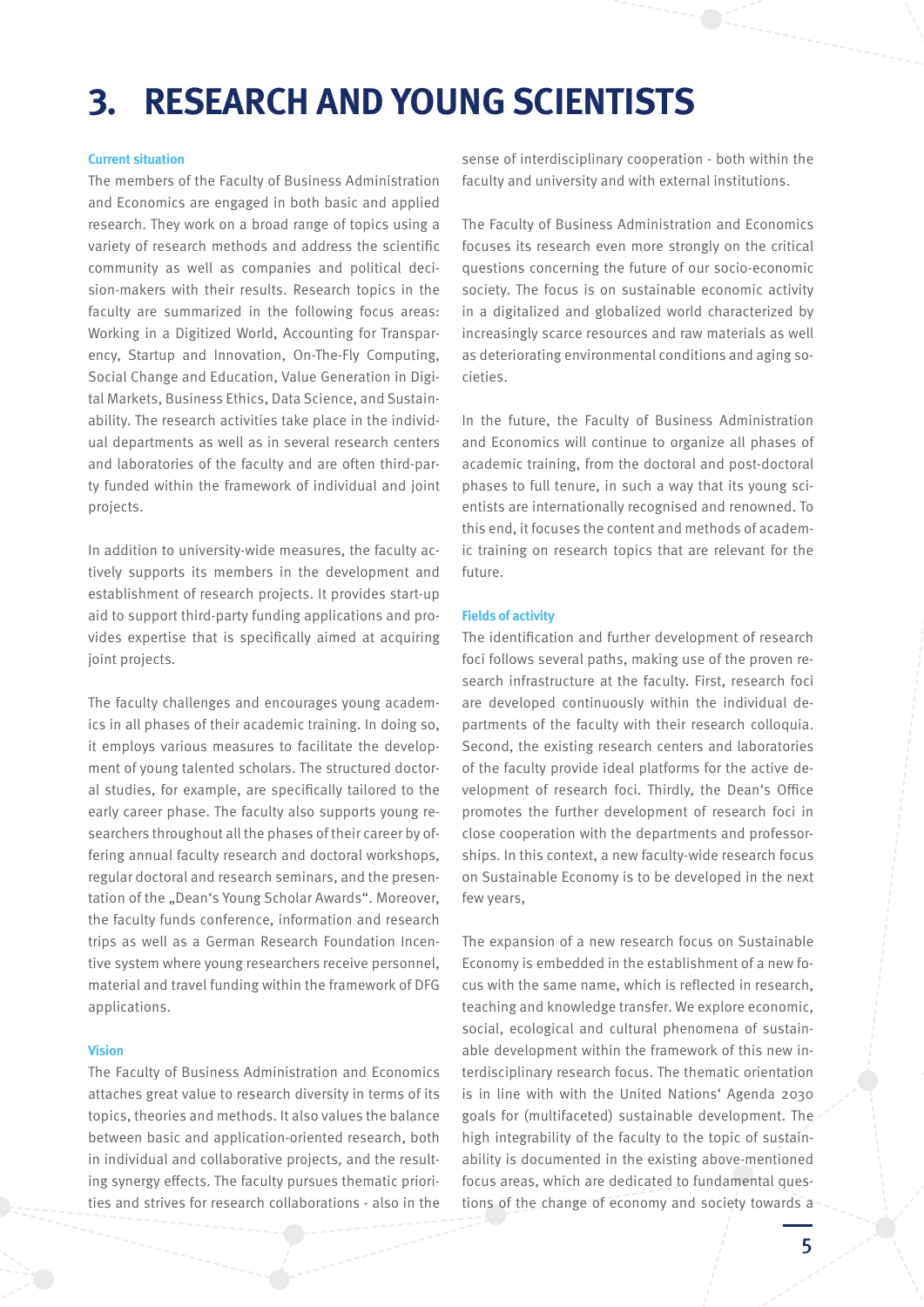### **3. RESEARCH AND YOUNG SCIENTISTS**

### **Current situation**

The members of the Faculty of Business Administration and Economics are engaged in both basic and applied research. They work on a broad range of topics using a variety of research methods and address the scientific community as well as companies and political decision-makers with their results. Research topics in the faculty are summarized in the following focus areas: Working in a Digitized World, Accounting for Transparency, Startup and Innovation, On-The-Fly Computing, Social Change and Education, Value Generation in Digital Markets, Business Ethics, Data Science, and Sustainability. The research activities take place in the individual departments as well as in several research centers and laboratories of the faculty and are often third-party funded within the framework of individual and joint projects.

In addition to university-wide measures, the faculty actively supports its members in the development and establishment of research projects. It provides start-up aid to support third-party funding applications and provides expertise that is specifically aimed at acquiring joint projects.

The faculty challenges and encourages young academics in all phases of their academic training. In doing so, it employs various measures to facilitate the development of young talented scholars. The structured doctoral studies, for example, are specifically tailored to the early career phase. The faculty also supports young researchers throughout all the phases of their career by offering annual faculty research and doctoral workshops, regular doctoral and research seminars, and the presentation of the "Dean's Young Scholar Awards". Moreover, the faculty funds conference, information and research trips as well as a German Research Foundation Incentive system where young researchers receive personnel, material and travel funding within the framework of DFG applications.

### **Vision**

The Faculty of Business Administration and Economics attaches great value to research diversity in terms of its topics, theories and methods. It also values the balance between basic and application-oriented research, both in individual and collaborative projects, and the resulting synergy effects. The faculty pursues thematic priorities and strives for research collaborations - also in the

sense of interdisciplinary cooperation - both within the faculty and university and with external institutions.

The Faculty of Business Administration and Economics focuses its research even more strongly on the critical questions concerning the future of our socio-economic society. The focus is on sustainable economic activity in a digitalized and globalized world characterized by increasingly scarce resources and raw materials as well as deteriorating environmental conditions and aging societies.

In the future, the Faculty of Business Administration and Economics will continue to organize all phases of academic training, from the doctoral and post-doctoral phases to full tenure, in such a way that its young scientists are internationally recognised and renowned. To this end, it focuses the content and methods of academic training on research topics that are relevant for the future.

#### **Fields of activity**

The identification and further development of research foci follows several paths, making use of the proven research infrastructure at the faculty. First, research foci are developed continuously within the individual departments of the faculty with their research colloquia. Second, the existing research centers and laboratories of the faculty provide ideal platforms for the active development of research foci. Thirdly, the Dean's Office promotes the further development of research foci in close cooperation with the departments and professorships. In this context, a new faculty-wide research focus on Sustainable Economy is to be developed in the next few years,

The expansion of a new research focus on Sustainable Economy is embedded in the establishment of a new focus with the same name, which is reflected in research, teaching and knowledge transfer. We explore economic, social, ecological and cultural phenomena of sustainable development within the framework of this new interdisciplinary research focus. The thematic orientation is in line with with the United Nations' Agenda 2030 goals for (multifaceted) sustainable development. The high integrability of the faculty to the topic of sustainability is documented in the existing above-mentioned focus areas, which are dedicated to fundamental questions of the change of economy and society towards a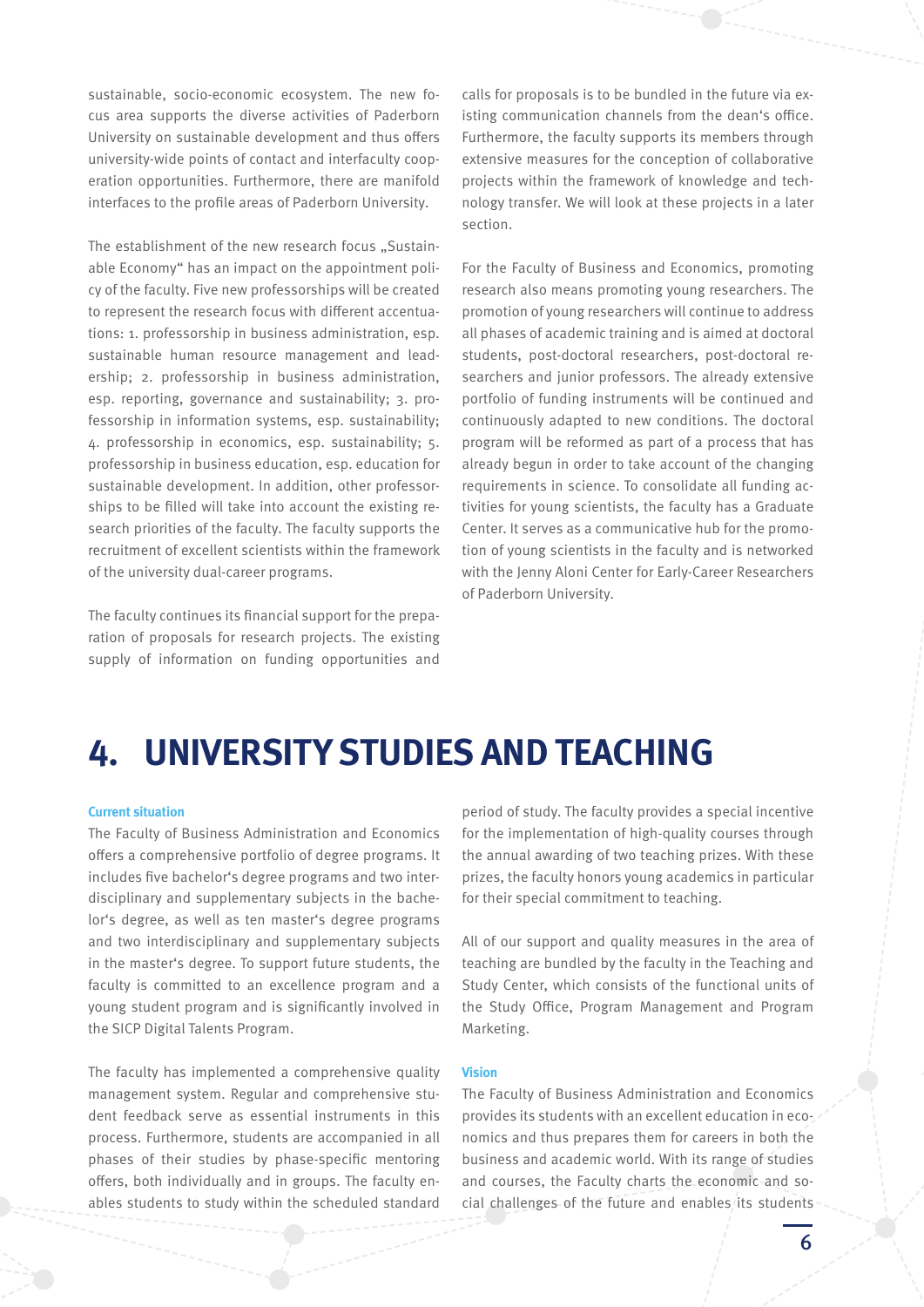sustainable, socio-economic ecosystem. The new focus area supports the diverse activities of Paderborn University on sustainable development and thus offers university-wide points of contact and interfaculty cooperation opportunities. Furthermore, there are manifold interfaces to the profile areas of Paderborn University.

The establishment of the new research focus "Sustainable Economy" has an impact on the appointment policy of the faculty. Five new professorships will be created to represent the research focus with different accentuations: 1. professorship in business administration, esp. sustainable human resource management and leadership; 2. professorship in business administration, esp. reporting, governance and sustainability; 3. professorship in information systems, esp. sustainability; 4. professorship in economics, esp. sustainability; 5. professorship in business education, esp. education for sustainable development. In addition, other professorships to be filled will take into account the existing research priorities of the faculty. The faculty supports the recruitment of excellent scientists within the framework of the university dual-career programs.

The faculty continues its financial support for the preparation of proposals for research projects. The existing supply of information on funding opportunities and

calls for proposals is to be bundled in the future via existing communication channels from the dean's office. Furthermore, the faculty supports its members through extensive measures for the conception of collaborative projects within the framework of knowledge and technology transfer. We will look at these projects in a later section.

For the Faculty of Business and Economics, promoting research also means promoting young researchers. The promotion of young researchers will continue to address all phases of academic training and is aimed at doctoral students, post-doctoral researchers, post-doctoral researchers and junior professors. The already extensive portfolio of funding instruments will be continued and continuously adapted to new conditions. The doctoral program will be reformed as part of a process that has already begun in order to take account of the changing requirements in science. To consolidate all funding activities for young scientists, the faculty has a Graduate Center. It serves as a communicative hub for the promotion of young scientists in the faculty and is networked with the Jenny Aloni Center for Early-Career Researchers of Paderborn University.

### **4. UNIVERSITY STUDIES AND TEACHING**

#### **Current situation**

The Faculty of Business Administration and Economics offers a comprehensive portfolio of degree programs. It includes five bachelor's degree programs and two interdisciplinary and supplementary subjects in the bachelor's degree, as well as ten master's degree programs and two interdisciplinary and supplementary subjects in the master's degree. To support future students, the faculty is committed to an excellence program and a young student program and is significantly involved in the SICP Digital Talents Program.

The faculty has implemented a comprehensive quality management system. Regular and comprehensive student feedback serve as essential instruments in this process. Furthermore, students are accompanied in all phases of their studies by phase-specific mentoring offers, both individually and in groups. The faculty enables students to study within the scheduled standard

period of study. The faculty provides a special incentive for the implementation of high-quality courses through the annual awarding of two teaching prizes. With these prizes, the faculty honors young academics in particular for their special commitment to teaching.

All of our support and quality measures in the area of teaching are bundled by the faculty in the Teaching and Study Center, which consists of the functional units of the Study Office, Program Management and Program Marketing.

#### **Vision**

The Faculty of Business Administration and Economics provides its students with an excellent education in economics and thus prepares them for careers in both the business and academic world. With its range of studies and courses, the Faculty charts the economic and social challenges of the future and enables its students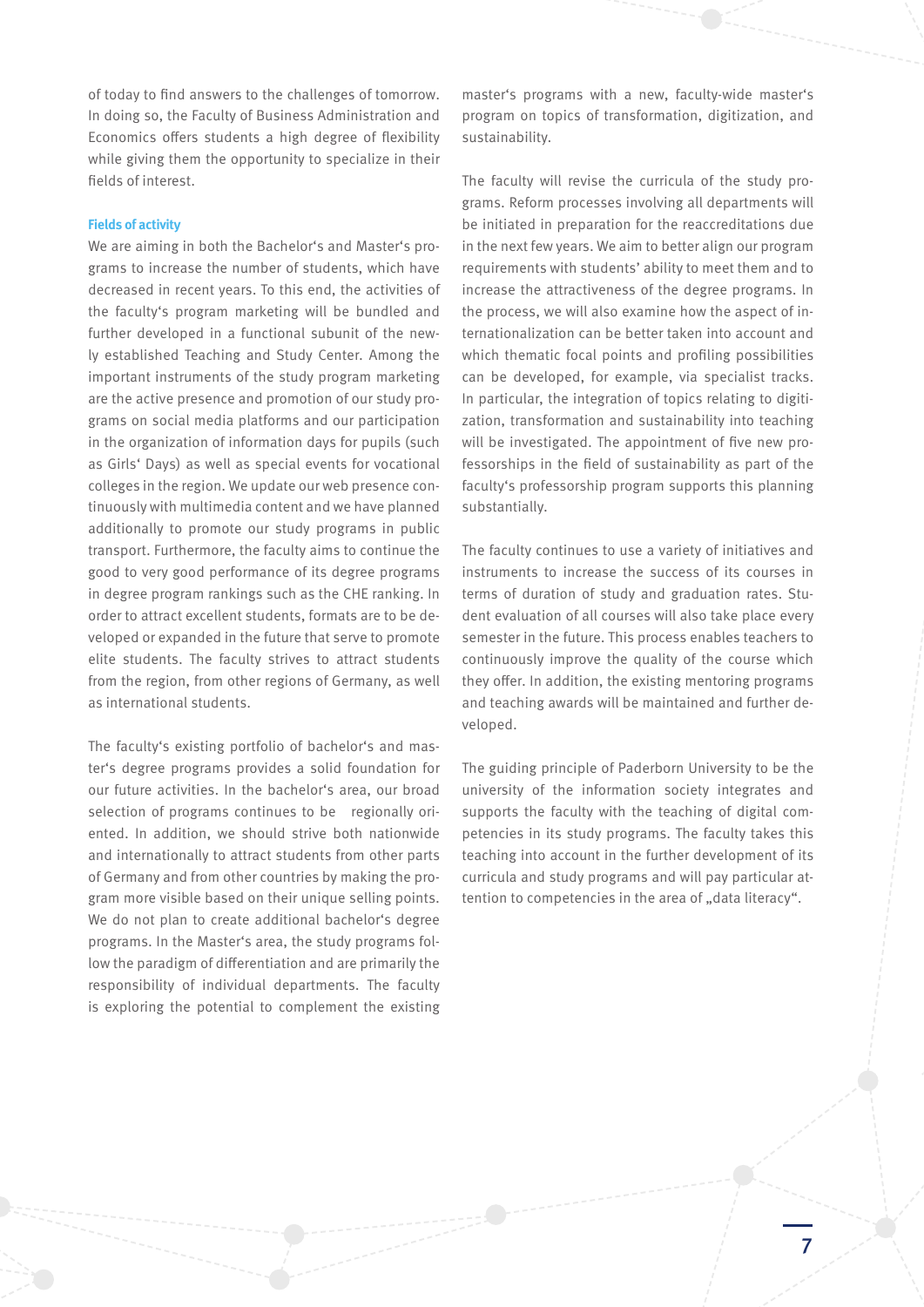of today to find answers to the challenges of tomorrow. In doing so, the Faculty of Business Administration and Economics offers students a high degree of flexibility while giving them the opportunity to specialize in their fields of interest.

### **Fields of activity**

We are aiming in both the Bachelor's and Master's programs to increase the number of students, which have decreased in recent years. To this end, the activities of the faculty's program marketing will be bundled and further developed in a functional subunit of the newly established Teaching and Study Center. Among the important instruments of the study program marketing are the active presence and promotion of our study programs on social media platforms and our participation in the organization of information days for pupils (such as Girls' Days) as well as special events for vocational colleges in the region. We update our web presence continuously with multimedia content and we have planned additionally to promote our study programs in public transport. Furthermore, the faculty aims to continue the good to very good performance of its degree programs in degree program rankings such as the CHE ranking. In order to attract excellent students, formats are to be developed or expanded in the future that serve to promote elite students. The faculty strives to attract students from the region, from other regions of Germany, as well as international students.

The faculty's existing portfolio of bachelor's and master's degree programs provides a solid foundation for our future activities. In the bachelor's area, our broad selection of programs continues to be regionally oriented. In addition, we should strive both nationwide and internationally to attract students from other parts of Germany and from other countries by making the program more visible based on their unique selling points. We do not plan to create additional bachelor's degree programs. In the Master's area, the study programs follow the paradigm of differentiation and are primarily the responsibility of individual departments. The faculty is exploring the potential to complement the existing

master's programs with a new, faculty-wide master's program on topics of transformation, digitization, and sustainability.

The faculty will revise the curricula of the study programs. Reform processes involving all departments will be initiated in preparation for the reaccreditations due in the next few years. We aim to better align our program requirements with students' ability to meet them and to increase the attractiveness of the degree programs. In the process, we will also examine how the aspect of internationalization can be better taken into account and which thematic focal points and profiling possibilities can be developed, for example, via specialist tracks. In particular, the integration of topics relating to digitization, transformation and sustainability into teaching will be investigated. The appointment of five new professorships in the field of sustainability as part of the faculty's professorship program supports this planning substantially.

The faculty continues to use a variety of initiatives and instruments to increase the success of its courses in terms of duration of study and graduation rates. Student evaluation of all courses will also take place every semester in the future. This process enables teachers to continuously improve the quality of the course which they offer. In addition, the existing mentoring programs and teaching awards will be maintained and further developed.

The guiding principle of Paderborn University to be the university of the information society integrates and supports the faculty with the teaching of digital competencies in its study programs. The faculty takes this teaching into account in the further development of its curricula and study programs and will pay particular attention to competencies in the area of ..data literacy".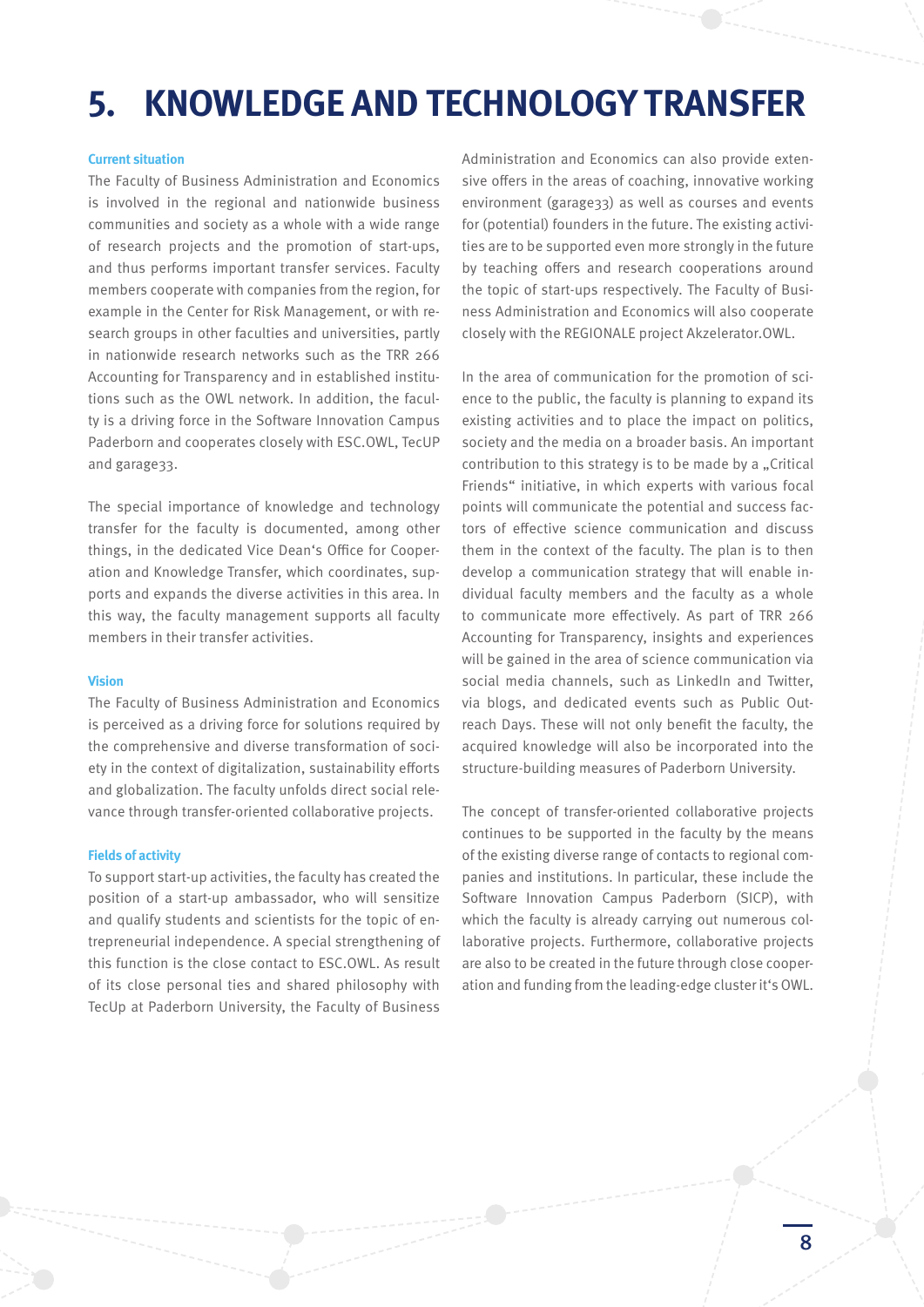### **5. KNOWLEDGE AND TECHNOLOGY TRANSFER**

### **Current situation**

The Faculty of Business Administration and Economics is involved in the regional and nationwide business communities and society as a whole with a wide range of research projects and the promotion of start-ups, and thus performs important transfer services. Faculty members cooperate with companies from the region, for example in the Center for Risk Management, or with research groups in other faculties and universities, partly in nationwide research networks such as the TRR 266 Accounting for Transparency and in established institutions such as the OWL network. In addition, the faculty is a driving force in the Software Innovation Campus Paderborn and cooperates closely with ESC.OWL, TecUP and garage33.

The special importance of knowledge and technology transfer for the faculty is documented, among other things, in the dedicated Vice Dean's Office for Cooperation and Knowledge Transfer, which coordinates, supports and expands the diverse activities in this area. In this way, the faculty management supports all faculty members in their transfer activities.

#### **Vision**

The Faculty of Business Administration and Economics is perceived as a driving force for solutions required by the comprehensive and diverse transformation of society in the context of digitalization, sustainability efforts and globalization. The faculty unfolds direct social relevance through transfer-oriented collaborative projects.

#### **Fields of activity**

To support start-up activities, the faculty has created the position of a start-up ambassador, who will sensitize and qualify students and scientists for the topic of entrepreneurial independence. A special strengthening of this function is the close contact to ESC.OWL. As result of its close personal ties and shared philosophy with TecUp at Paderborn University, the Faculty of Business

Administration and Economics can also provide extensive offers in the areas of coaching, innovative working environment (garage33) as well as courses and events for (potential) founders in the future. The existing activities are to be supported even more strongly in the future by teaching offers and research cooperations around the topic of start-ups respectively. The Faculty of Business Administration and Economics will also cooperate closely with the REGIONALE project Akzelerator.OWL.

In the area of communication for the promotion of science to the public, the faculty is planning to expand its existing activities and to place the impact on politics, society and the media on a broader basis. An important contribution to this strategy is to be made by a "Critical Friends" initiative, in which experts with various focal points will communicate the potential and success factors of effective science communication and discuss them in the context of the faculty. The plan is to then develop a communication strategy that will enable individual faculty members and the faculty as a whole to communicate more effectively. As part of TRR 266 Accounting for Transparency, insights and experiences will be gained in the area of science communication via social media channels, such as LinkedIn and Twitter, via blogs, and dedicated events such as Public Outreach Days. These will not only benefit the faculty, the acquired knowledge will also be incorporated into the structure-building measures of Paderborn University.

The concept of transfer-oriented collaborative projects continues to be supported in the faculty by the means of the existing diverse range of contacts to regional companies and institutions. In particular, these include the Software Innovation Campus Paderborn (SICP), with which the faculty is already carrying out numerous collaborative projects. Furthermore, collaborative projects are also to be created in the future through close cooperation and funding from the leading-edge cluster it's OWL.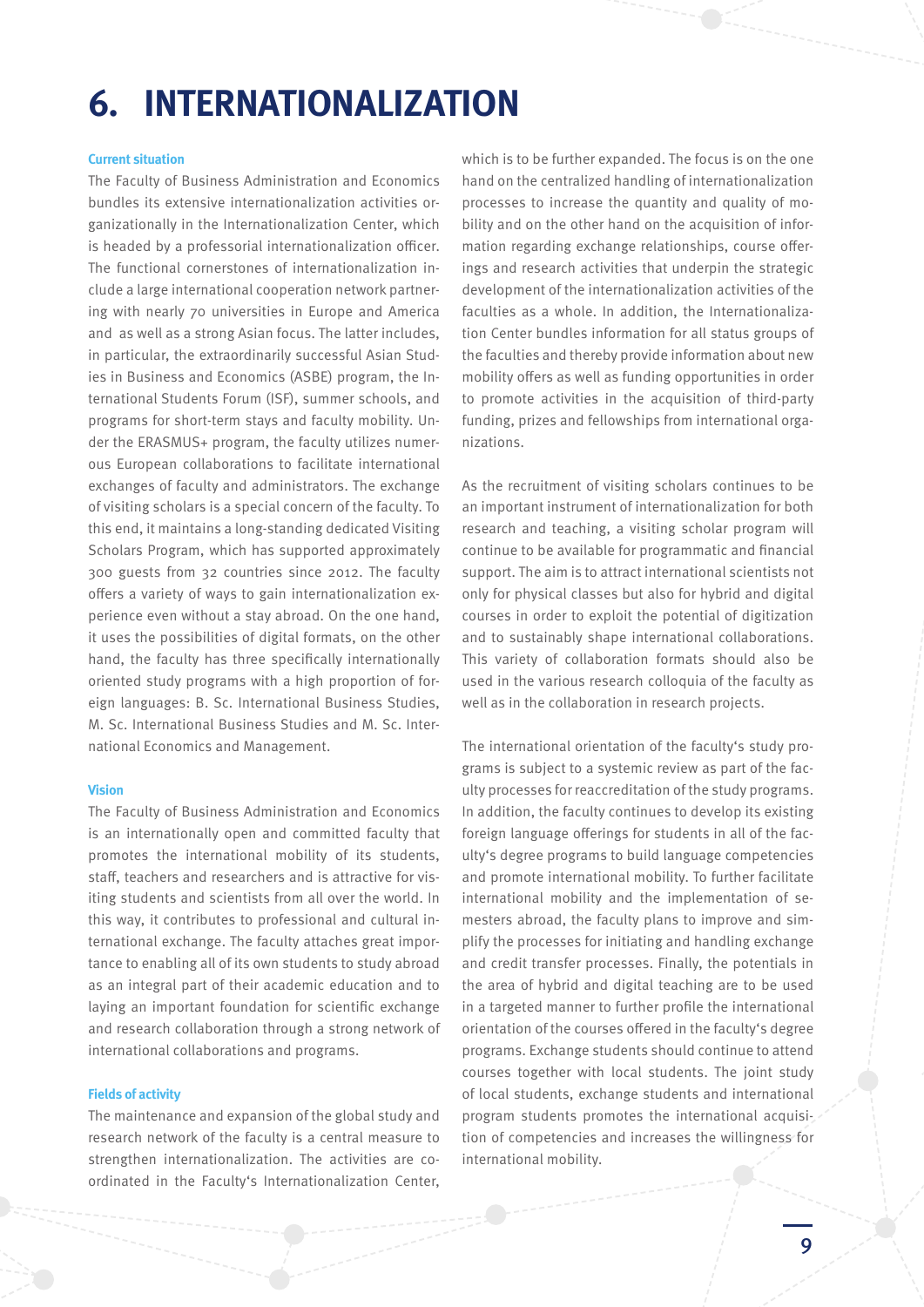### **6. INTERNATIONALIZATION**

### **Current situation**

The Faculty of Business Administration and Economics bundles its extensive internationalization activities organizationally in the Internationalization Center, which is headed by a professorial internationalization officer. The functional cornerstones of internationalization include a large international cooperation network partnering with nearly 70 universities in Europe and America and as well as a strong Asian focus. The latter includes, in particular, the extraordinarily successful Asian Studies in Business and Economics (ASBE) program, the International Students Forum (ISF), summer schools, and programs for short-term stays and faculty mobility. Under the ERASMUS+ program, the faculty utilizes numerous European collaborations to facilitate international exchanges of faculty and administrators. The exchange of visiting scholars is a special concern of the faculty. To this end, it maintains a long-standing dedicated Visiting Scholars Program, which has supported approximately 300 guests from 32 countries since 2012. The faculty offers a variety of ways to gain internationalization experience even without a stay abroad. On the one hand, it uses the possibilities of digital formats, on the other hand, the faculty has three specifically internationally oriented study programs with a high proportion of foreign languages: B. Sc. International Business Studies, M. Sc. International Business Studies and M. Sc. International Economics and Management.

### **Vision**

The Faculty of Business Administration and Economics is an internationally open and committed faculty that promotes the international mobility of its students, staff, teachers and researchers and is attractive for visiting students and scientists from all over the world. In this way, it contributes to professional and cultural international exchange. The faculty attaches great importance to enabling all of its own students to study abroad as an integral part of their academic education and to laying an important foundation for scientific exchange and research collaboration through a strong network of international collaborations and programs.

### **Fields of activity**

The maintenance and expansion of the global study and research network of the faculty is a central measure to strengthen internationalization. The activities are coordinated in the Faculty's Internationalization Center,

which is to be further expanded. The focus is on the one hand on the centralized handling of internationalization processes to increase the quantity and quality of mobility and on the other hand on the acquisition of information regarding exchange relationships, course offerings and research activities that underpin the strategic development of the internationalization activities of the faculties as a whole. In addition, the Internationalization Center bundles information for all status groups of the faculties and thereby provide information about new mobility offers as well as funding opportunities in order to promote activities in the acquisition of third-party funding, prizes and fellowships from international organizations.

As the recruitment of visiting scholars continues to be an important instrument of internationalization for both research and teaching, a visiting scholar program will continue to be available for programmatic and financial support. The aim is to attract international scientists not only for physical classes but also for hybrid and digital courses in order to exploit the potential of digitization and to sustainably shape international collaborations. This variety of collaboration formats should also be used in the various research colloquia of the faculty as well as in the collaboration in research projects.

The international orientation of the faculty's study programs is subject to a systemic review as part of the faculty processes for reaccreditation of the study programs. In addition, the faculty continues to develop its existing foreign language offerings for students in all of the faculty's degree programs to build language competencies and promote international mobility. To further facilitate international mobility and the implementation of semesters abroad, the faculty plans to improve and simplify the processes for initiating and handling exchange and credit transfer processes. Finally, the potentials in the area of hybrid and digital teaching are to be used in a targeted manner to further profile the international orientation of the courses offered in the faculty's degree programs. Exchange students should continue to attend courses together with local students. The joint study of local students, exchange students and international program students promotes the international acquisition of competencies and increases the willingness for international mobility.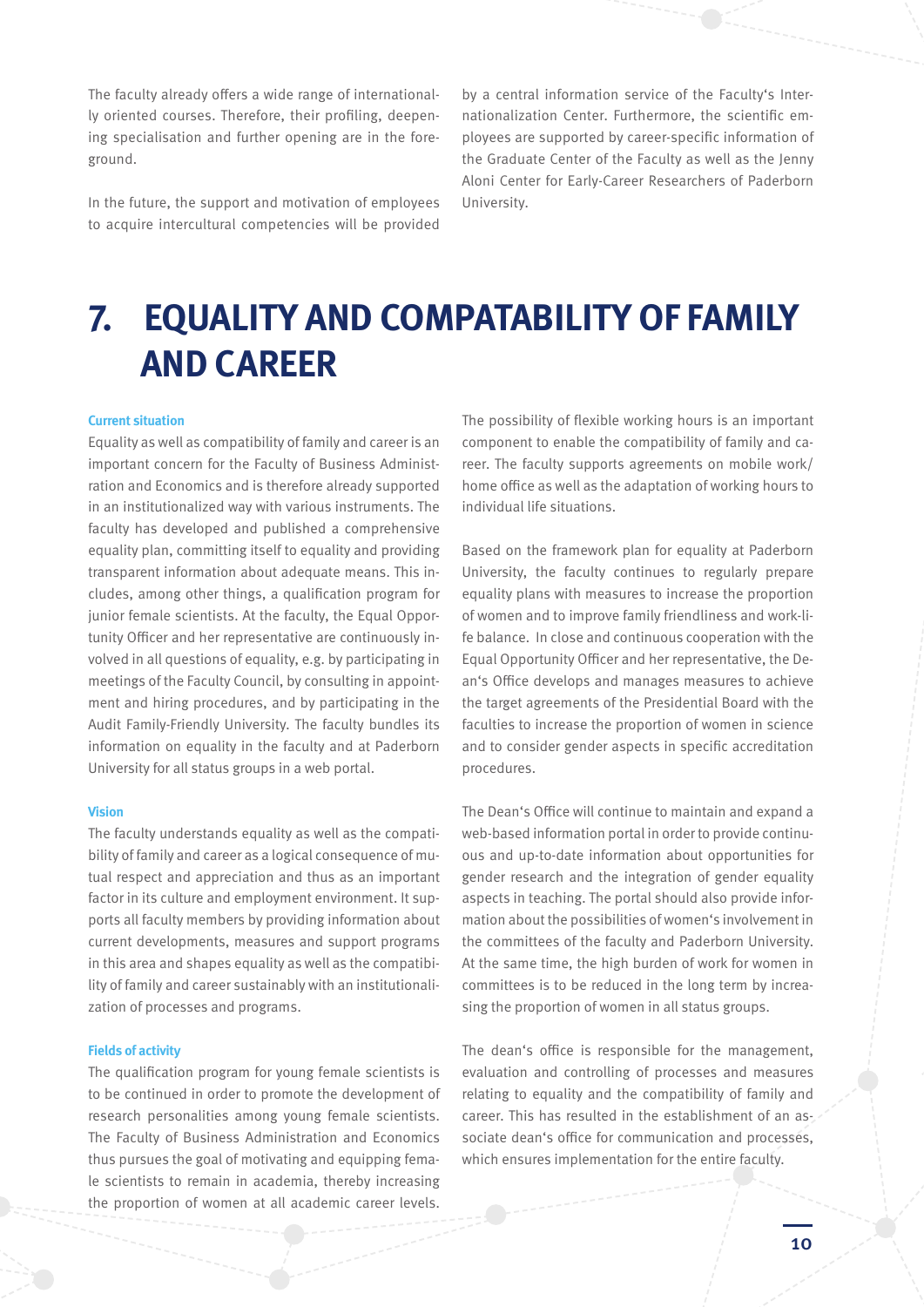The faculty already offers a wide range of internationally oriented courses. Therefore, their profiling, deepening specialisation and further opening are in the foreground.

In the future, the support and motivation of employees to acquire intercultural competencies will be provided

by a central information service of the Faculty's Internationalization Center. Furthermore, the scientific employees are supported by career-specific information of the Graduate Center of the Faculty as well as the Jenny Aloni Center for Early-Career Researchers of Paderborn University.

### **7. EQUALITY AND COMPATABILITY OF FAMILY AND CAREER**

### **Current situation**

Equality as well as compatibility of family and career is an important concern for the Faculty of Business Administration and Economics and is therefore already supported in an institutionalized way with various instruments. The faculty has developed and published a comprehensive equality plan, committing itself to equality and providing transparent information about adequate means. This includes, among other things, a qualification program for junior female scientists. At the faculty, the Equal Opportunity Officer and her representative are continuously involved in all questions of equality, e.g. by participating in meetings of the Faculty Council, by consulting in appointment and hiring procedures, and by participating in the Audit Family-Friendly University. The faculty bundles its information on equality in the faculty and at Paderborn University for all status groups in a web portal.

### **Vision**

The faculty understands equality as well as the compatibility of family and career as a logical consequence of mutual respect and appreciation and thus as an important factor in its culture and employment environment. It supports all faculty members by providing information about current developments, measures and support programs in this area and shapes equality as well as the compatibility of family and career sustainably with an institutionalization of processes and programs.

#### **Fields of activity**

The qualification program for young female scientists is to be continued in order to promote the development of research personalities among young female scientists. The Faculty of Business Administration and Economics thus pursues the goal of motivating and equipping female scientists to remain in academia, thereby increasing the proportion of women at all academic career levels.

The possibility of flexible working hours is an important component to enable the compatibility of family and career. The faculty supports agreements on mobile work/ home office as well as the adaptation of working hours to individual life situations.

Based on the framework plan for equality at Paderborn University, the faculty continues to regularly prepare equality plans with measures to increase the proportion of women and to improve family friendliness and work-life balance. In close and continuous cooperation with the Equal Opportunity Officer and her representative, the Dean's Office develops and manages measures to achieve the target agreements of the Presidential Board with the faculties to increase the proportion of women in science and to consider gender aspects in specific accreditation procedures.

The Dean's Office will continue to maintain and expand a web-based information portal in order to provide continuous and up-to-date information about opportunities for gender research and the integration of gender equality aspects in teaching. The portal should also provide information about the possibilities of women's involvement in the committees of the faculty and Paderborn University. At the same time, the high burden of work for women in committees is to be reduced in the long term by increasing the proportion of women in all status groups.

The dean's office is responsible for the management, evaluation and controlling of processes and measures relating to equality and the compatibility of family and career. This has resulted in the establishment of an associate dean's office for communication and processes, which ensures implementation for the entire faculty.